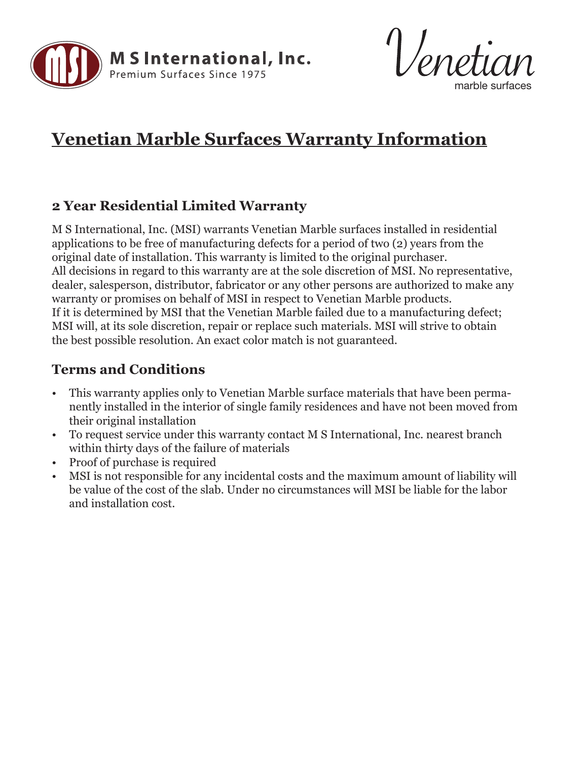



## **Venetian Marble Surfaces Warranty Information**

## **2 Year Residential Limited Warranty**

M S International, Inc. (MSI) warrants Venetian Marble surfaces installed in residential applications to be free of manufacturing defects for a period of two (2) years from the original date of installation. This warranty is limited to the original purchaser. All decisions in regard to this warranty are at the sole discretion of MSI. No representative, dealer, salesperson, distributor, fabricator or any other persons are authorized to make any warranty or promises on behalf of MSI in respect to Venetian Marble products. If it is determined by MSI that the Venetian Marble failed due to a manufacturing defect; MSI will, at its sole discretion, repair or replace such materials. MSI will strive to obtain the best possible resolution. An exact color match is not guaranteed.

## **Terms and Conditions**

- This warranty applies only to Venetian Marble surface materials that have been permanently installed in the interior of single family residences and have not been moved from their original installation
- To request service under this warranty contact M S International, Inc. nearest branch within thirty days of the failure of materials
- Proof of purchase is required
- MSI is not responsible for any incidental costs and the maximum amount of liability will be value of the cost of the slab. Under no circumstances will MSI be liable for the labor and installation cost.